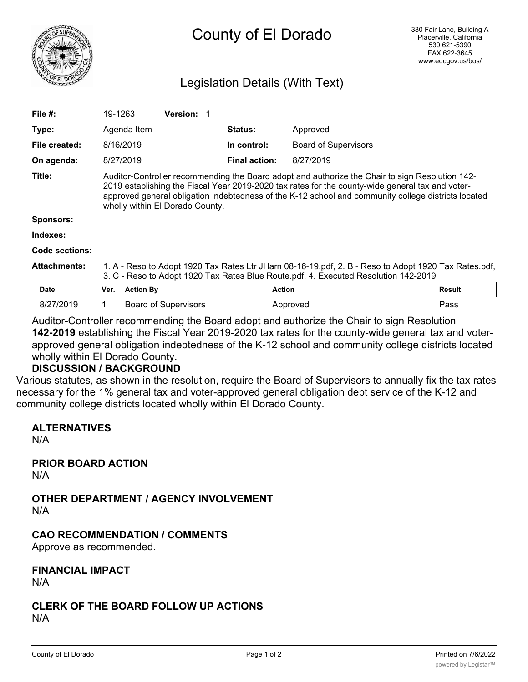

# County of El Dorado

## Legislation Details (With Text)

| File $#$ :          | 19-1263                                                                                                                                                                                                                                                                                                                                       |                  | <b>Version: 1</b>           |                      |                             |        |
|---------------------|-----------------------------------------------------------------------------------------------------------------------------------------------------------------------------------------------------------------------------------------------------------------------------------------------------------------------------------------------|------------------|-----------------------------|----------------------|-----------------------------|--------|
| Type:               |                                                                                                                                                                                                                                                                                                                                               | Agenda Item      |                             | <b>Status:</b>       | Approved                    |        |
| File created:       |                                                                                                                                                                                                                                                                                                                                               | 8/16/2019        |                             | In control:          | <b>Board of Supervisors</b> |        |
| On agenda:          |                                                                                                                                                                                                                                                                                                                                               | 8/27/2019        |                             | <b>Final action:</b> | 8/27/2019                   |        |
| Title:              | Auditor-Controller recommending the Board adopt and authorize the Chair to sign Resolution 142-<br>2019 establishing the Fiscal Year 2019-2020 tax rates for the county-wide general tax and voter-<br>approved general obligation indebtedness of the K-12 school and community college districts located<br>wholly within El Dorado County. |                  |                             |                      |                             |        |
| Sponsors:           |                                                                                                                                                                                                                                                                                                                                               |                  |                             |                      |                             |        |
| Indexes:            |                                                                                                                                                                                                                                                                                                                                               |                  |                             |                      |                             |        |
| Code sections:      |                                                                                                                                                                                                                                                                                                                                               |                  |                             |                      |                             |        |
| <b>Attachments:</b> | 1. A - Reso to Adopt 1920 Tax Rates Ltr JHarn 08-16-19.pdf, 2. B - Reso to Adopt 1920 Tax Rates.pdf,<br>3. C - Reso to Adopt 1920 Tax Rates Blue Route.pdf, 4. Executed Resolution 142-2019                                                                                                                                                   |                  |                             |                      |                             |        |
| <b>Date</b>         | Ver.                                                                                                                                                                                                                                                                                                                                          | <b>Action By</b> |                             | <b>Action</b>        |                             | Result |
| 8/27/2019           | 1                                                                                                                                                                                                                                                                                                                                             |                  | <b>Board of Supervisors</b> |                      | Approved                    | Pass   |

Auditor-Controller recommending the Board adopt and authorize the Chair to sign Resolution **142-2019** establishing the Fiscal Year 2019-2020 tax rates for the county-wide general tax and voterapproved general obligation indebtedness of the K-12 school and community college districts located wholly within El Dorado County.

#### **DISCUSSION / BACKGROUND**

Various statutes, as shown in the resolution, require the Board of Supervisors to annually fix the tax rates necessary for the 1% general tax and voter-approved general obligation debt service of the K-12 and community college districts located wholly within El Dorado County.

#### **ALTERNATIVES**

N/A

**PRIOR BOARD ACTION** N/A

**OTHER DEPARTMENT / AGENCY INVOLVEMENT** N/A

#### **CAO RECOMMENDATION / COMMENTS**

Approve as recommended.

# **FINANCIAL IMPACT**

N/A

#### **CLERK OF THE BOARD FOLLOW UP ACTIONS** N/A